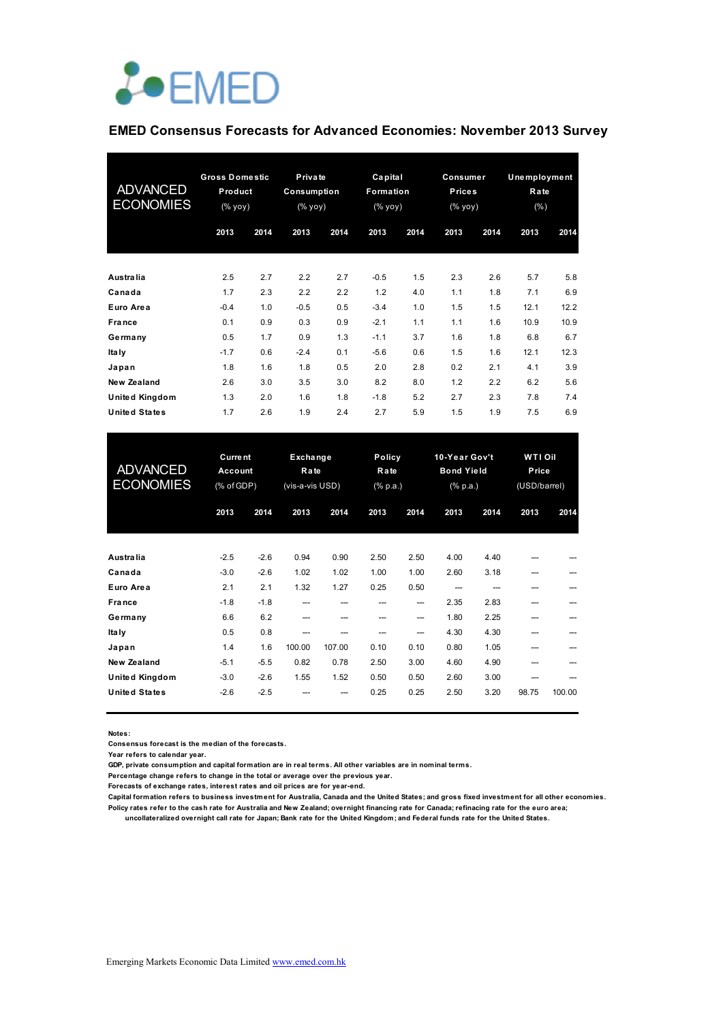

### **EMED Consensus Forecasts for Advanced Economies: November 2013 Survey**

| <b>ADVANCED</b><br><b>ECONOMIES</b> | <b>Gross Domestic</b><br>Product<br>(% yoy) |      | Private<br>Consumption<br>(% yoy) |      | Capital<br>Formation<br>(% yoy) |      | Consumer<br><b>Prices</b><br>(% yoy) |      | <b>Unemployment</b><br>Rate<br>$(\% )$ |      |
|-------------------------------------|---------------------------------------------|------|-----------------------------------|------|---------------------------------|------|--------------------------------------|------|----------------------------------------|------|
|                                     | 2013                                        | 2014 | 2013                              | 2014 | 2013                            | 2014 | 2013                                 | 2014 | 2013                                   | 2014 |
| Australia                           | 2.5                                         | 2.7  | 2.2                               | 2.7  | $-0.5$                          | 1.5  | 2.3                                  | 2.6  | 5.7                                    | 5.8  |
| Canada                              | 1.7                                         | 2.3  | 2.2                               | 2.2  | 1.2                             | 4.0  | 1.1                                  | 1.8  | 7.1                                    | 6.9  |
| Euro Area                           | $-0.4$                                      | 1.0  | $-0.5$                            | 0.5  | $-3.4$                          | 1.0  | 1.5                                  | 1.5  | 12.1                                   | 12.2 |
| <b>France</b>                       | 0.1                                         | 0.9  | 0.3                               | 0.9  | $-2.1$                          | 1.1  | 1.1                                  | 1.6  | 10.9                                   | 10.9 |
| Germany                             | 0.5                                         | 1.7  | 0.9                               | 1.3  | $-1.1$                          | 3.7  | 1.6                                  | 1.8  | 6.8                                    | 6.7  |
| Ita Iy                              | $-1.7$                                      | 0.6  | $-2.4$                            | 0.1  | $-5.6$                          | 0.6  | 1.5                                  | 1.6  | 12.1                                   | 12.3 |
| Japan                               | 1.8                                         | 1.6  | 1.8                               | 0.5  | 2.0                             | 2.8  | 0.2                                  | 2.1  | 4.1                                    | 3.9  |
| <b>New Zealand</b>                  | 2.6                                         | 3.0  | 3.5                               | 3.0  | 8.2                             | 8.0  | 1.2                                  | 2.2  | 6.2                                    | 5.6  |
| United Kingdom                      | 1.3                                         | 2.0  | 1.6                               | 1.8  | $-1.8$                          | 5.2  | 2.7                                  | 2.3  | 7.8                                    | 7.4  |
| <b>United States</b>                | 1.7                                         | 2.6  | 1.9                               | 2.4  | 2.7                             | 5.9  | 1.5                                  | 1.9  | 7.5                                    | 6.9  |

| <b>ADVANCED</b><br><b>ECONOMIES</b> | <b>Current</b><br>Account<br>(% of GDP) |        | Exchange<br>Rate<br>(vis-a-vis USD) |        | <b>Policy</b><br>Rate<br>(% p.a.) |      | 10-Year Gov't<br><b>Bond Yield</b><br>(% p.a.) |      | <b>WTI Oil</b><br>Price<br>(USD/barrel) |        |
|-------------------------------------|-----------------------------------------|--------|-------------------------------------|--------|-----------------------------------|------|------------------------------------------------|------|-----------------------------------------|--------|
|                                     | 2013                                    | 2014   | 2013                                | 2014   | 2013                              | 2014 | 2013                                           | 2014 | 2013                                    | 2014   |
| Australia                           | $-2.5$                                  | $-2.6$ | 0.94                                | 0.90   | 2.50                              | 2.50 | 4.00                                           | 4.40 |                                         |        |
| Canada                              | $-3.0$                                  | $-2.6$ | 1.02                                | 1.02   | 1.00                              | 1.00 | 2.60                                           | 3.18 | ---                                     |        |
| Euro Area                           | 2.1                                     | 2.1    | 1.32                                | 1.27   | 0.25                              | 0.50 | ---                                            |      | ---                                     |        |
| France                              | $-1.8$                                  | $-1.8$ | ---                                 | ---    | ---                               | ---  | 2.35                                           | 2.83 | ---                                     |        |
| Germany                             | 6.6                                     | 6.2    | ---                                 |        | ---                               | ---  | 1.80                                           | 2.25 | ---                                     |        |
| Ita Iy                              | 0.5                                     | 0.8    | ---                                 |        | ---                               | ---  | 4.30                                           | 4.30 | ---                                     |        |
| Japan                               | 1.4                                     | 1.6    | 100.00                              | 107.00 | 0.10                              | 0.10 | 0.80                                           | 1.05 | ---                                     |        |
| New Zealand                         | $-5.1$                                  | $-5.5$ | 0.82                                | 0.78   | 2.50                              | 3.00 | 4.60                                           | 4.90 | ---                                     |        |
| United Kingdom                      | $-3.0$                                  | $-2.6$ | 1.55                                | 1.52   | 0.50                              | 0.50 | 2.60                                           | 3.00 |                                         |        |
| United States                       | $-2.6$                                  | $-2.5$ |                                     |        | 0.25                              | 0.25 | 2.50                                           | 3.20 | 98.75                                   | 100.00 |

**Notes:** 

**Consensus forecast is the median of the forecasts.**

**Year refers to calendar year.**

**GDP, private consumption and capital formation are in real terms. All other variables are in nominal terms.**

**Percentage change refers to change in the total or average over the previous year.**

**Forecasts of exchange rates, interest rates and oil prices are for year-end.**

**Capital formation refers to business investment for Australia, Canada and the United States; and gross fixed investment for all other economies. Policy rates refer to the cash rate for Australia and New Zealand; overnight financing rate for Canada; refinacing rate for the euro area; uncollateralized overnight call rate for Japan; Bank rate for the United Kingdom; and Federal funds rate for the United States.**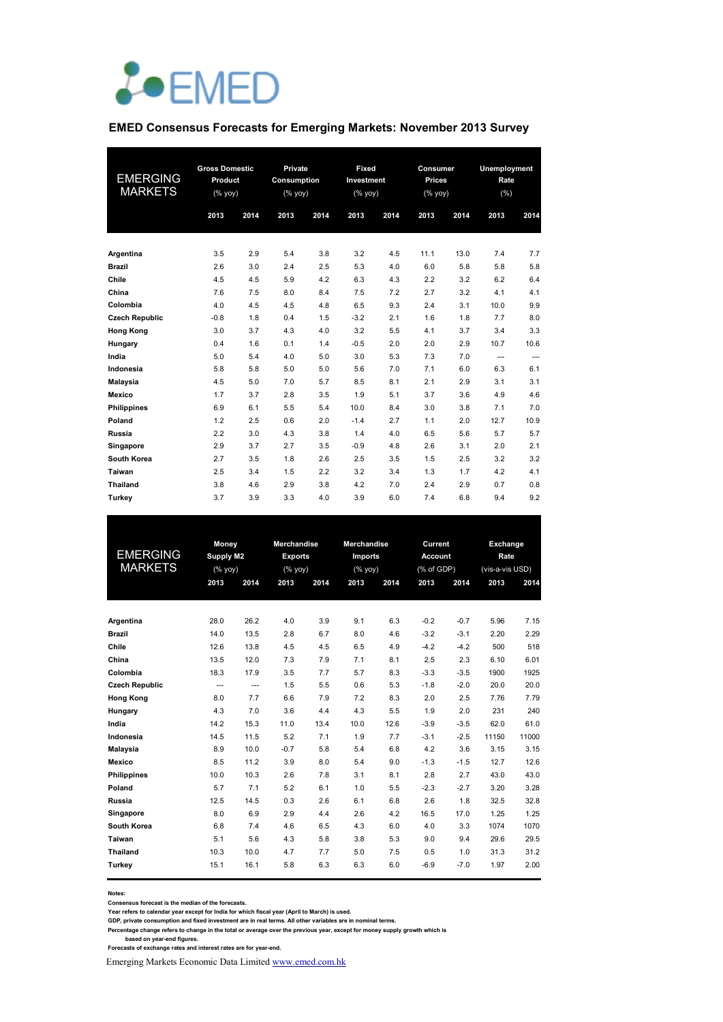

### **EMED Consensus Forecasts for Emerging Markets: November 2013 Survey**

| <b>EMERGING</b><br><b>MARKETS</b> | <b>Gross Domestic</b><br>Product<br>$(\%$ yoy) |      |      |      |        | Private<br>Consumption<br>(% yoy) |      | Fixed<br>Investment<br>$(% \mathsf{Y}^{\prime }\mathsf{Y}^{\prime }\mathsf{Y}^{\prime })$ |      | Consumer<br><b>Prices</b><br>(% yoy) |  | Unemployment<br>Rate<br>(%) |  |
|-----------------------------------|------------------------------------------------|------|------|------|--------|-----------------------------------|------|-------------------------------------------------------------------------------------------|------|--------------------------------------|--|-----------------------------|--|
|                                   | 2013                                           | 2014 | 2013 | 2014 | 2013   | 2014                              | 2013 | 2014                                                                                      | 2013 | 2014                                 |  |                             |  |
| Argentina                         | 3.5                                            | 2.9  | 5.4  | 3.8  | 3.2    | 4.5                               | 11.1 | 13.0                                                                                      | 7.4  | 7.7                                  |  |                             |  |
| <b>Brazil</b>                     | 2.6                                            | 3.0  | 2.4  | 2.5  | 5.3    | 4.0                               | 6.0  | 5.8                                                                                       | 5.8  | 5.8                                  |  |                             |  |
| Chile                             | 4.5                                            | 4.5  | 5.9  | 4.2  | 6.3    | 4.3                               | 2.2  | 3.2                                                                                       | 6.2  | 6.4                                  |  |                             |  |
| China                             | 7.6                                            | 7.5  | 8.0  | 8.4  | 7.5    | 7.2                               | 2.7  | 3.2                                                                                       | 4.1  | 4.1                                  |  |                             |  |
| Colombia                          | 4.0                                            | 4.5  | 4.5  | 4.8  | 6.5    | 9.3                               | 2.4  | 3.1                                                                                       | 10.0 | 9.9                                  |  |                             |  |
| <b>Czech Republic</b>             | $-0.8$                                         | 1.8  | 0.4  | 1.5  | $-3.2$ | 2.1                               | 1.6  | 1.8                                                                                       | 7.7  | 8.0                                  |  |                             |  |
| <b>Hong Kong</b>                  | 3.0                                            | 3.7  | 4.3  | 4.0  | 3.2    | 5.5                               | 4.1  | 3.7                                                                                       | 3.4  | 3.3                                  |  |                             |  |
| Hungary                           | 0.4                                            | 1.6  | 0.1  | 1.4  | $-0.5$ | 2.0                               | 2.0  | 2.9                                                                                       | 10.7 | 10.6                                 |  |                             |  |
| India                             | 5.0                                            | 5.4  | 4.0  | 5.0  | 3.0    | 5.3                               | 7.3  | 7.0                                                                                       | ---  | ---                                  |  |                             |  |
| Indonesia                         | 5.8                                            | 5.8  | 5.0  | 5.0  | 5.6    | 7.0                               | 7.1  | 6.0                                                                                       | 6.3  | 6.1                                  |  |                             |  |
| <b>Malaysia</b>                   | 4.5                                            | 5.0  | 7.0  | 5.7  | 8.5    | 8.1                               | 2.1  | 2.9                                                                                       | 3.1  | 3.1                                  |  |                             |  |
| Mexico                            | 1.7                                            | 3.7  | 2.8  | 3.5  | 1.9    | 5.1                               | 3.7  | 3.6                                                                                       | 4.9  | 4.6                                  |  |                             |  |
| <b>Philippines</b>                | 6.9                                            | 6.1  | 5.5  | 5.4  | 10.0   | 8.4                               | 3.0  | 3.8                                                                                       | 7.1  | 7.0                                  |  |                             |  |
| Poland                            | 1.2                                            | 2.5  | 0.6  | 2.0  | $-1.4$ | 2.7                               | 1.1  | 2.0                                                                                       | 12.7 | 10.9                                 |  |                             |  |
| Russia                            | 2.2                                            | 3.0  | 4.3  | 3.8  | 1.4    | 4.0                               | 6.5  | 5.6                                                                                       | 5.7  | 5.7                                  |  |                             |  |
| Singapore                         | 2.9                                            | 3.7  | 2.7  | 3.5  | $-0.9$ | 4.8                               | 2.6  | 3.1                                                                                       | 2.0  | 2.1                                  |  |                             |  |
| South Korea                       | 2.7                                            | 3.5  | 1.8  | 2.6  | 2.5    | 3.5                               | 1.5  | 2.5                                                                                       | 3.2  | 3.2                                  |  |                             |  |
| Taiwan                            | 2.5                                            | 3.4  | 1.5  | 2.2  | 3.2    | 3.4                               | 1.3  | 1.7                                                                                       | 4.2  | 4.1                                  |  |                             |  |
| <b>Thailand</b>                   | 3.8                                            | 4.6  | 2.9  | 3.8  | 4.2    | 7.0                               | 2.4  | 2.9                                                                                       | 0.7  | 0.8                                  |  |                             |  |
| Turkey                            | 3.7                                            | 3.9  | 3.3  | 4.0  | 3.9    | 6.0                               | 7.4  | 6.8                                                                                       | 9.4  | 9.2                                  |  |                             |  |

| <b>EMERGING</b><br><b>MARKETS</b> |      | Money<br>Supply M2<br>(% yoy) |        | Merchandise<br><b>Exports</b><br>(% yoy) | Merchandise<br><b>Imports</b><br>(% yoy) |      | Current<br><b>Account</b><br>(% of GDP) |        |       | Exchange<br>Rate<br>(vis-a-vis USD)<br>2014 |  |
|-----------------------------------|------|-------------------------------|--------|------------------------------------------|------------------------------------------|------|-----------------------------------------|--------|-------|---------------------------------------------|--|
|                                   | 2013 | 2014                          | 2013   | 2014                                     | 2013                                     | 2014 | 2013                                    | 2014   | 2013  |                                             |  |
|                                   |      |                               |        |                                          |                                          |      |                                         |        |       |                                             |  |
| Argentina                         | 28.0 | 26.2                          | 4.0    | 3.9                                      | 9.1                                      | 6.3  | $-0.2$                                  | $-0.7$ | 5.96  | 7.15                                        |  |
| <b>Brazil</b>                     | 14.0 | 13.5                          | 2.8    | 6.7                                      | 8.0                                      | 4.6  | $-3.2$                                  | $-3.1$ | 2.20  | 2.29                                        |  |
| Chile                             | 12.6 | 13.8                          | 4.5    | 4.5                                      | 6.5                                      | 4.9  | $-4.2$                                  | $-4.2$ | 500   | 518                                         |  |
| China                             | 13.5 | 12.0                          | 7.3    | 7.9                                      | 7.1                                      | 8.1  | 2.5                                     | 2.3    | 6.10  | 6.01                                        |  |
| Colombia                          | 18.3 | 17.9                          | 3.5    | 7.7                                      | 5.7                                      | 8.3  | $-3.3$                                  | $-3.5$ | 1900  | 1925                                        |  |
| <b>Czech Republic</b>             | ---  | $\overline{\phantom{a}}$      | 1.5    | 5.5                                      | 0.6                                      | 5.3  | $-1.8$                                  | $-2.0$ | 20.0  | 20.0                                        |  |
| <b>Hong Kong</b>                  | 8.0  | 7.7                           | 6.6    | 7.9                                      | 7.2                                      | 8.3  | 2.0                                     | 2.5    | 7.76  | 7.79                                        |  |
| Hungary                           | 4.3  | 7.0                           | 3.6    | 4.4                                      | 4.3                                      | 5.5  | 1.9                                     | 2.0    | 231   | 240                                         |  |
| India                             | 14.2 | 15.3                          | 11.0   | 13.4                                     | 10.0                                     | 12.6 | $-3.9$                                  | $-3.5$ | 62.0  | 61.0                                        |  |
| Indonesia                         | 14.5 | 11.5                          | 5.2    | 7.1                                      | 1.9                                      | 7.7  | $-3.1$                                  | $-2.5$ | 11150 | 11000                                       |  |
| Malaysia                          | 8.9  | 10.0                          | $-0.7$ | 5.8                                      | 5.4                                      | 6.8  | 4.2                                     | 3.6    | 3.15  | 3.15                                        |  |
| <b>Mexico</b>                     | 8.5  | 11.2                          | 3.9    | 8.0                                      | 5.4                                      | 9.0  | $-1.3$                                  | $-1.5$ | 12.7  | 12.6                                        |  |
| <b>Philippines</b>                | 10.0 | 10.3                          | 2.6    | 7.8                                      | 3.1                                      | 8.1  | 2.8                                     | 2.7    | 43.0  | 43.0                                        |  |
| Poland                            | 5.7  | 7.1                           | 5.2    | 6.1                                      | 1.0                                      | 5.5  | $-2.3$                                  | $-2.7$ | 3.20  | 3.28                                        |  |
| Russia                            | 12.5 | 14.5                          | 0.3    | 2.6                                      | 6.1                                      | 6.8  | 2.6                                     | 1.8    | 32.5  | 32.8                                        |  |
| Singapore                         | 8.0  | 6.9                           | 2.9    | 4.4                                      | 2.6                                      | 4.2  | 16.5                                    | 17.0   | 1.25  | 1.25                                        |  |
| South Korea                       | 6.8  | 7.4                           | 4.6    | 6.5                                      | 4.3                                      | 6.0  | 4.0                                     | 3.3    | 1074  | 1070                                        |  |
| Taiwan                            | 5.1  | 5.6                           | 4.3    | 5.8                                      | 3.8                                      | 5.3  | 9.0                                     | 9.4    | 29.6  | 29.5                                        |  |
| <b>Thailand</b>                   | 10.3 | 10.0                          | 4.7    | 7.7                                      | 5.0                                      | 7.5  | 0.5                                     | 1.0    | 31.3  | 31.2                                        |  |
| Turkev                            | 15.1 | 16.1                          | 5.8    | 6.3                                      | 6.3                                      | 6.0  | $-6.9$                                  | $-7.0$ | 1.97  | 2.00                                        |  |
|                                   |      |                               |        |                                          |                                          |      |                                         |        |       |                                             |  |

**Notes:** 

**Consensus forecast is the median of the forecasts.**

Year refers to calendar year except for India for which fiscal year (April to March) is used.<br>GDP, private consumption and fixed investment are in real terms. All other variables are in nominal terms.<br>Percentage change ref

Emerging Markets Economic Data Limited www.emed.com.hk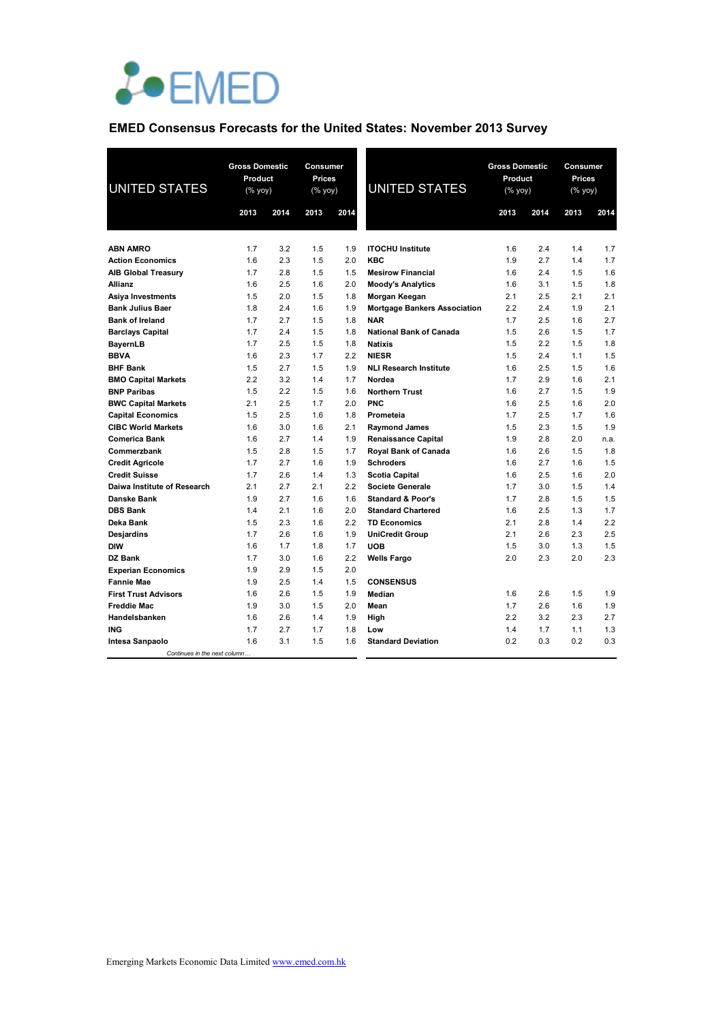

## **EMED Consensus Forecasts for the United States: November 2013 Survey**

| <b>UNITED STATES</b>         | <b>Gross Domestic</b><br>Product<br>(% yoy) |      | Consumer<br>Prices<br>(% yoy) |      | <b>UNITED STATES</b>                | <b>Gross Domestic</b><br>Product<br>(% yoy) |      | Consumer<br>Prices<br>(% yoy) |      |
|------------------------------|---------------------------------------------|------|-------------------------------|------|-------------------------------------|---------------------------------------------|------|-------------------------------|------|
|                              | 2013                                        | 2014 | 2013                          | 2014 |                                     | 2013                                        | 2014 | 2013                          | 2014 |
|                              |                                             |      |                               |      |                                     |                                             |      |                               |      |
| <b>ABN AMRO</b>              | 1.7                                         | 3.2  | 1.5                           | 1.9  | <b>ITOCHU Institute</b>             | 1.6                                         | 2.4  | 1.4                           | 1.7  |
| <b>Action Economics</b>      | 1.6                                         | 2.3  | 1.5                           | 2.0  | <b>KBC</b>                          | 1.9                                         | 2.7  | 1.4                           | 1.7  |
| <b>AIB Global Treasury</b>   | 1.7                                         | 2.8  | 1.5                           | 1.5  | <b>Mesirow Financial</b>            | 1.6                                         | 2.4  | 1.5                           | 1.6  |
| <b>Allianz</b>               | 1.6                                         | 2.5  | 1.6                           | 2.0  | <b>Moody's Analytics</b>            | 1.6                                         | 3.1  | 1.5                           | 1.8  |
| Asiya Investments            | 1.5                                         | 2.0  | 1.5                           | 1.8  | Morgan Keegan                       | 2.1                                         | 2.5  | 2.1                           | 2.1  |
| <b>Bank Julius Baer</b>      | 1.8                                         | 2.4  | 1.6                           | 1.9  | <b>Mortgage Bankers Association</b> | 2.2                                         | 2.4  | 1.9                           | 2.1  |
| <b>Bank of Ireland</b>       | 1.7                                         | 2.7  | 1.5                           | 1.8  | <b>NAR</b>                          | 1.7                                         | 2.5  | 1.6                           | 2.7  |
| <b>Barclays Capital</b>      | 1.7                                         | 2.4  | 1.5                           | 1.8  | <b>National Bank of Canada</b>      | 1.5                                         | 2.6  | 1.5                           | 1.7  |
| <b>BayernLB</b>              | 1.7                                         | 2.5  | 1.5                           | 1.8  | <b>Natixis</b>                      | 1.5                                         | 2.2  | 1.5                           | 1.8  |
| <b>BBVA</b>                  | 1.6                                         | 2.3  | 1.7                           | 2.2  | <b>NIESR</b>                        | 1.5                                         | 2.4  | 1.1                           | 1.5  |
| <b>BHF Bank</b>              | 1.5                                         | 2.7  | 1.5                           | 1.9  | <b>NLI Research Institute</b>       | 1.6                                         | 2.5  | 1.5                           | 1.6  |
| <b>BMO Capital Markets</b>   | 2.2                                         | 3.2  | 1.4                           | 1.7  | Nordea                              | 1.7                                         | 2.9  | 1.6                           | 2.1  |
| <b>BNP Paribas</b>           | 1.5                                         | 2.2  | 1.5                           | 1.6  | <b>Northern Trust</b>               | 1.6                                         | 2.7  | 1.5                           | 1.9  |
| <b>BWC Capital Markets</b>   | 2.1                                         | 2.5  | 1.7                           | 2.0  | <b>PNC</b>                          | 1.6                                         | 2.5  | 1.6                           | 2.0  |
| <b>Capital Economics</b>     | 1.5                                         | 2.5  | 1.6                           | 1.8  | Prometeia                           | 1.7                                         | 2.5  | 1.7                           | 1.6  |
| <b>CIBC World Markets</b>    | 1.6                                         | 3.0  | 1.6                           | 2.1  | <b>Raymond James</b>                | 1.5                                         | 2.3  | 1.5                           | 1.9  |
| <b>Comerica Bank</b>         | 1.6                                         | 2.7  | 1.4                           | 1.9  | <b>Renaissance Capital</b>          | 1.9                                         | 2.8  | 2.0                           | n.a. |
| Commerzbank                  | 1.5                                         | 2.8  | 1.5                           | 1.7  | Royal Bank of Canada                | 1.6                                         | 2.6  | 1.5                           | 1.8  |
| <b>Credit Agricole</b>       | 1.7                                         | 2.7  | 1.6                           | 1.9  | <b>Schroders</b>                    | 1.6                                         | 2.7  | 1.6                           | 1.5  |
| <b>Credit Suisse</b>         | 1.7                                         | 2.6  | 1.4                           | 1.3  | <b>Scotia Capital</b>               | 1.6                                         | 2.5  | 1.6                           | 2.0  |
| Daiwa Institute of Research  | 2.1                                         | 2.7  | 2.1                           | 2.2  | <b>Societe Generale</b>             | 1.7                                         | 3.0  | 1.5                           | 1.4  |
| Danske Bank                  | 1.9                                         | 2.7  | 1.6                           | 1.6  | <b>Standard &amp; Poor's</b>        | 1.7                                         | 2.8  | 1.5                           | 1.5  |
| <b>DBS Bank</b>              | 1.4                                         | 2.1  | 1.6                           | 2.0  | <b>Standard Chartered</b>           | 1.6                                         | 2.5  | 1.3                           | 1.7  |
| Deka Bank                    | 1.5                                         | 2.3  | 1.6                           | 2.2  | <b>TD Economics</b>                 | 2.1                                         | 2.8  | 1.4                           | 2.2  |
| Desjardins                   | 1.7                                         | 2.6  | 1.6                           | 1.9  | <b>UniCredit Group</b>              | 2.1                                         | 2.6  | 2.3                           | 2.5  |
| <b>DIW</b>                   | 1.6                                         | 1.7  | 1.8                           | 1.7  | <b>UOB</b>                          | 1.5                                         | 3.0  | 1.3                           | 1.5  |
| DZ Bank                      | 1.7                                         | 3.0  | 1.6                           | 2.2  | <b>Wells Fargo</b>                  | 2.0                                         | 2.3  | 2.0                           | 2.3  |
| <b>Experian Economics</b>    | 1.9                                         | 2.9  | 1.5                           | 2.0  |                                     |                                             |      |                               |      |
| <b>Fannie Mae</b>            | 1.9                                         | 2.5  | 1.4                           | 1.5  | <b>CONSENSUS</b>                    |                                             |      |                               |      |
| <b>First Trust Advisors</b>  | 1.6                                         | 2.6  | 1.5                           | 1.9  | Median                              | 1.6                                         | 2.6  | 1.5                           | 1.9  |
| <b>Freddie Mac</b>           | 1.9                                         | 3.0  | 1.5                           | 2.0  | Mean                                | 1.7                                         | 2.6  | 1.6                           | 1.9  |
| Handelsbanken                | 1.6                                         | 2.6  | 1.4                           | 1.9  | High                                | 2.2                                         | 3.2  | 2.3                           | 2.7  |
| <b>ING</b>                   | 1.7                                         | 2.7  | 1.7                           | 1.8  | Low                                 | 1.4                                         | 1.7  | 1.1                           | 1.3  |
| Intesa Sanpaolo              | 1.6                                         | 3.1  | 1.5                           | 1.6  | <b>Standard Deviation</b>           | 0.2                                         | 0.3  | 0.2                           | 0.3  |
| Continues in the next column |                                             |      |                               |      |                                     |                                             |      |                               |      |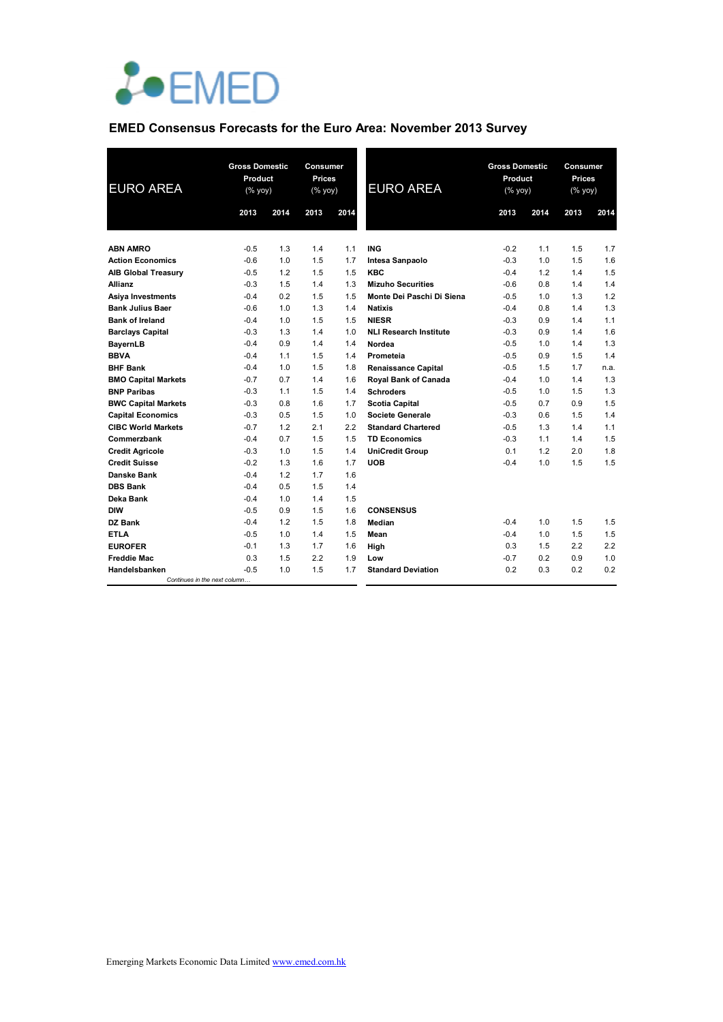

# **EMED Consensus Forecasts for the Euro Area: November 2013 Survey**

| <b>EURO AREA</b>             | 2013   | <b>Gross Domestic</b><br>Product<br>(% yoy)<br>2014 |     | <b>Consumer</b><br><b>Prices</b><br>(% yoy)<br>2014 | <b>EURO AREA</b>              | <b>Gross Domestic</b><br>Product<br>(% yoy)<br>2013 |     | Consumer<br><b>Prices</b><br>(% yoy)<br>2014<br>2013<br>2014 |            |
|------------------------------|--------|-----------------------------------------------------|-----|-----------------------------------------------------|-------------------------------|-----------------------------------------------------|-----|--------------------------------------------------------------|------------|
|                              |        |                                                     |     |                                                     |                               |                                                     |     |                                                              |            |
|                              |        |                                                     |     |                                                     |                               |                                                     |     |                                                              |            |
| <b>ABN AMRO</b>              | $-0.5$ | 1.3                                                 | 1.4 | 1.1                                                 | <b>ING</b>                    | $-0.2$                                              | 1.1 | 1.5                                                          | 1.7<br>1.6 |
| <b>Action Economics</b>      | $-0.6$ | 1.0                                                 | 1.5 | 1.7                                                 | Intesa Sanpaolo               | $-0.3$                                              | 1.0 | 1.5<br>1.4                                                   | 1.5        |
| <b>AIB Global Treasury</b>   | $-0.5$ | 1.2                                                 | 1.5 | 1.5                                                 | <b>KBC</b>                    | $-0.4$                                              | 1.2 |                                                              |            |
| Allianz                      | $-0.3$ | 1.5                                                 | 1.4 | 1.3                                                 | <b>Mizuho Securities</b>      | $-0.6$                                              | 0.8 | 1.4                                                          | 1.4        |
| Asiya Investments            | $-0.4$ | 0.2                                                 | 1.5 | 1.5                                                 | Monte Dei Paschi Di Siena     | $-0.5$                                              | 1.0 | 1.3                                                          | 1.2        |
| <b>Bank Julius Baer</b>      | $-0.6$ | 1.0                                                 | 1.3 | 1.4                                                 | Natixis                       | $-0.4$                                              | 0.8 | 1.4                                                          | 1.3        |
| <b>Bank of Ireland</b>       | $-0.4$ | 1.0                                                 | 1.5 | 1.5                                                 | <b>NIESR</b>                  | $-0.3$                                              | 0.9 | 1.4                                                          | 1.1        |
| <b>Barclays Capital</b>      | $-0.3$ | 1.3                                                 | 1.4 | 1.0                                                 | <b>NLI Research Institute</b> | $-0.3$                                              | 0.9 | 1.4                                                          | 1.6        |
| <b>BayernLB</b>              | $-0.4$ | 0.9                                                 | 1.4 | 1.4                                                 | Nordea                        | $-0.5$                                              | 1.0 | 1.4                                                          | 1.3        |
| <b>BBVA</b>                  | $-0.4$ | 1.1                                                 | 1.5 | 1.4                                                 | Prometeia                     | $-0.5$                                              | 0.9 | 1.5                                                          | 1.4        |
| <b>BHF Bank</b>              | $-0.4$ | 1.0                                                 | 1.5 | 1.8                                                 | <b>Renaissance Capital</b>    | $-0.5$                                              | 1.5 | 1.7                                                          | n.a.       |
| <b>BMO Capital Markets</b>   | $-0.7$ | 0.7                                                 | 1.4 | 1.6                                                 | Royal Bank of Canada          | $-0.4$                                              | 1.0 | 1.4                                                          | 1.3        |
| <b>BNP Paribas</b>           | $-0.3$ | 1.1                                                 | 1.5 | 1.4                                                 | <b>Schroders</b>              | $-0.5$                                              | 1.0 | 1.5                                                          | 1.3        |
| <b>BWC Capital Markets</b>   | $-0.3$ | 0.8                                                 | 1.6 | 1.7                                                 | <b>Scotia Capital</b>         | $-0.5$                                              | 0.7 | 0.9                                                          | 1.5        |
| <b>Capital Economics</b>     | $-0.3$ | 0.5                                                 | 1.5 | 1.0                                                 | <b>Societe Generale</b>       | $-0.3$                                              | 0.6 | 1.5                                                          | 1.4        |
| <b>CIBC World Markets</b>    | $-0.7$ | 1.2                                                 | 2.1 | 2.2                                                 | <b>Standard Chartered</b>     | $-0.5$                                              | 1.3 | 1.4                                                          | 1.1        |
| Commerzbank                  | $-0.4$ | 0.7                                                 | 1.5 | 1.5                                                 | <b>TD Economics</b>           | $-0.3$                                              | 1.1 | 1.4                                                          | 1.5        |
| <b>Credit Agricole</b>       | $-0.3$ | 1.0                                                 | 1.5 | 1.4                                                 | <b>UniCredit Group</b>        | 0.1                                                 | 1.2 | 2.0                                                          | 1.8        |
| <b>Credit Suisse</b>         | $-0.2$ | 1.3                                                 | 1.6 | 1.7                                                 | <b>UOB</b>                    | $-0.4$                                              | 1.0 | 1.5                                                          | 1.5        |
| Danske Bank                  | $-0.4$ | 1.2                                                 | 1.7 | 1.6                                                 |                               |                                                     |     |                                                              |            |
| <b>DBS Bank</b>              | $-0.4$ | 0.5                                                 | 1.5 | 1.4                                                 |                               |                                                     |     |                                                              |            |
| Deka Bank                    | $-0.4$ | 1.0                                                 | 1.4 | 1.5                                                 |                               |                                                     |     |                                                              |            |
| <b>DIW</b>                   | $-0.5$ | 0.9                                                 | 1.5 | 1.6                                                 | <b>CONSENSUS</b>              |                                                     |     |                                                              |            |
| DZ Bank                      | $-0.4$ | 1.2                                                 | 1.5 | 1.8                                                 | Median                        | $-0.4$                                              | 1.0 | 1.5                                                          | 1.5        |
| <b>ETLA</b>                  | $-0.5$ | 1.0                                                 | 1.4 | 1.5                                                 | Mean                          | $-0.4$                                              | 1.0 | 1.5                                                          | 1.5        |
| <b>EUROFER</b>               | $-0.1$ | 1.3                                                 | 1.7 | 1.6                                                 | High                          | 0.3                                                 | 1.5 | 2.2                                                          | 2.2        |
| <b>Freddie Mac</b>           | 0.3    | 1.5                                                 | 2.2 | 1.9                                                 | Low                           | $-0.7$                                              | 0.2 | 0.9                                                          | 1.0        |
| Handelsbanken                | $-0.5$ | 1.0                                                 | 1.5 | 1.7                                                 | <b>Standard Deviation</b>     | 0.2                                                 | 0.3 | 0.2                                                          | 0.2        |
| Continues in the next column |        |                                                     |     |                                                     |                               |                                                     |     |                                                              |            |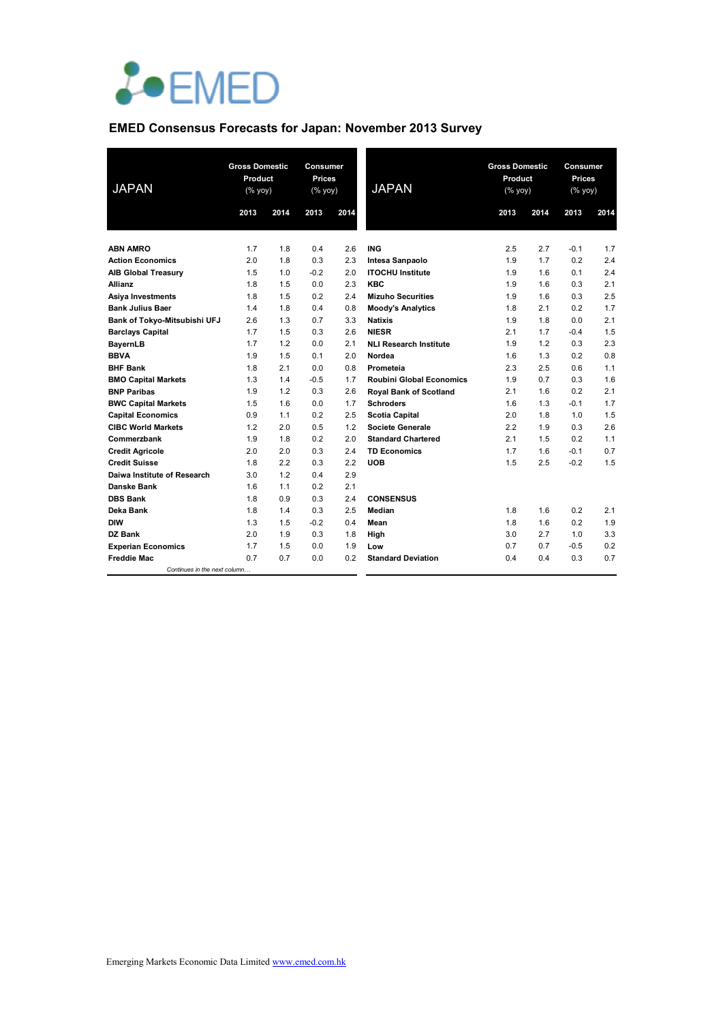

# **EMED Consensus Forecasts for Japan: November 2013 Survey**

| <b>JAPAN</b>                                        | <b>Gross Domestic</b><br>Product<br>$(% \mathsf{Y}^{\prime }\mathsf{Y}^{\prime }\mathsf{Y}^{\prime })$ |            | 2013       | Consumer<br><b>Prices</b><br><b>JAPAN</b><br>(% yoy)<br>2014 |                                            | <b>Gross Domestic</b><br>Product<br>$(% \mathsf{Y}^{\prime }\mathsf{Y}^{\prime }\mathsf{Y}^{\prime })$ |            | Consumer<br><b>Prices</b><br>(% yoy) |            |
|-----------------------------------------------------|--------------------------------------------------------------------------------------------------------|------------|------------|--------------------------------------------------------------|--------------------------------------------|--------------------------------------------------------------------------------------------------------|------------|--------------------------------------|------------|
|                                                     | 2013                                                                                                   | 2014       |            |                                                              |                                            | 2013                                                                                                   | 2014       | 2013                                 | 2014       |
|                                                     |                                                                                                        |            |            |                                                              |                                            |                                                                                                        |            |                                      |            |
| <b>ABN AMRO</b>                                     | 1.7                                                                                                    | 1.8        | 0.4        | 2.6                                                          | <b>ING</b>                                 | 2.5                                                                                                    | 2.7        | $-0.1$                               | 1.7        |
| <b>Action Economics</b>                             | 2.0                                                                                                    | 1.8        | 0.3        | 2.3                                                          | Intesa Sanpaolo                            | 1.9                                                                                                    | 1.7        | 0.2                                  | 2.4        |
| <b>AIB Global Treasury</b>                          | 1.5                                                                                                    | 1.0        | $-0.2$     | 2.0                                                          | <b>ITOCHU Institute</b>                    | 1.9                                                                                                    | 1.6        | 0.1                                  | 2.4<br>2.1 |
| <b>Allianz</b>                                      | 1.8<br>1.8                                                                                             | 1.5<br>1.5 | 0.0<br>0.2 | 2.3<br>2.4                                                   | <b>KBC</b><br><b>Mizuho Securities</b>     | 1.9<br>1.9                                                                                             | 1.6<br>1.6 | 0.3<br>0.3                           | 2.5        |
| <b>Asiya Investments</b><br><b>Bank Julius Baer</b> | 1.4                                                                                                    | 1.8        | 0.4        | 0.8                                                          |                                            | 1.8                                                                                                    | 2.1        | 0.2                                  | 1.7        |
| Bank of Tokyo-Mitsubishi UFJ                        | 2.6                                                                                                    | 1.3        | 0.7        | 3.3                                                          | <b>Moody's Analytics</b><br><b>Natixis</b> | 1.9                                                                                                    | 1.8        | 0.0                                  | 2.1        |
| <b>Barclays Capital</b>                             | 1.7                                                                                                    | 1.5        | 0.3        | 2.6                                                          | <b>NIESR</b>                               | 2.1                                                                                                    | 1.7        | $-0.4$                               | 1.5        |
| <b>BayernLB</b>                                     | 1.7                                                                                                    | 1.2        | 0.0        | 2.1                                                          | <b>NLI Research Institute</b>              | 1.9                                                                                                    | 1.2        | 0.3                                  | 2.3        |
| <b>BBVA</b>                                         | 1.9                                                                                                    | 1.5        | 0.1        | 2.0                                                          | Nordea                                     | 1.6                                                                                                    | 1.3        | 0.2                                  | 0.8        |
| <b>BHF Bank</b>                                     | 1.8                                                                                                    | 2.1        | 0.0        | 0.8                                                          | Prometeia                                  | 2.3                                                                                                    | 2.5        | 0.6                                  | 1.1        |
| <b>BMO Capital Markets</b>                          | 1.3                                                                                                    | 1.4        | $-0.5$     | 1.7                                                          | <b>Roubini Global Economics</b>            | 1.9                                                                                                    | 0.7        | 0.3                                  | 1.6        |
| <b>BNP Paribas</b>                                  | 1.9                                                                                                    | 1.2        | 0.3        | 2.6                                                          | <b>Royal Bank of Scotland</b>              | 2.1                                                                                                    | 1.6        | 0.2                                  | 2.1        |
| <b>BWC Capital Markets</b>                          | 1.5                                                                                                    | 1.6        | 0.0        | 1.7                                                          | <b>Schroders</b>                           | 1.6                                                                                                    | 1.3        | $-0.1$                               | 1.7        |
| <b>Capital Economics</b>                            | 0.9                                                                                                    | 1.1        | 0.2        | 2.5                                                          | <b>Scotia Capital</b>                      | 2.0                                                                                                    | 1.8        | 1.0                                  | 1.5        |
| <b>CIBC World Markets</b>                           | 1.2                                                                                                    | 2.0        | 0.5        | 1.2                                                          | <b>Societe Generale</b>                    | 2.2                                                                                                    | 1.9        | 0.3                                  | 2.6        |
| Commerzbank                                         | 1.9                                                                                                    | 1.8        | 0.2        | 2.0                                                          | <b>Standard Chartered</b>                  | 2.1                                                                                                    | 1.5        | 0.2                                  | 1.1        |
| <b>Credit Agricole</b>                              | 2.0                                                                                                    | 2.0        | 0.3        | 2.4                                                          | <b>TD Economics</b>                        | 1.7                                                                                                    | 1.6        | $-0.1$                               | 0.7        |
| <b>Credit Suisse</b>                                | 1.8                                                                                                    | 2.2        | 0.3        | 2.2                                                          | <b>UOB</b>                                 | 1.5                                                                                                    | 2.5        | $-0.2$                               | 1.5        |
| Daiwa Institute of Research                         | 3.0                                                                                                    | 1.2        | 0.4        | 2.9                                                          |                                            |                                                                                                        |            |                                      |            |
| Danske Bank                                         | 1.6                                                                                                    | 1.1        | 0.2        | 2.1                                                          |                                            |                                                                                                        |            |                                      |            |
| <b>DBS Bank</b>                                     | 1.8                                                                                                    | 0.9        | 0.3        | 2.4                                                          | <b>CONSENSUS</b>                           |                                                                                                        |            |                                      |            |
| Deka Bank                                           | 1.8                                                                                                    | 1.4        | 0.3        | 2.5                                                          | Median                                     | 1.8                                                                                                    | 1.6        | 0.2                                  | 2.1        |
| <b>DIW</b>                                          | 1.3                                                                                                    | 1.5        | $-0.2$     | 0.4                                                          | Mean                                       | 1.8                                                                                                    | 1.6        | 0.2                                  | 1.9        |
| DZ Bank                                             | 2.0                                                                                                    | 1.9        | 0.3        | 1.8                                                          | High                                       | 3.0                                                                                                    | 2.7        | 1.0                                  | 3.3        |
| <b>Experian Economics</b>                           | 1.7                                                                                                    | 1.5        | 0.0        | 1.9                                                          | Low                                        | 0.7                                                                                                    | 0.7        | $-0.5$                               | 0.2        |
| <b>Freddie Mac</b>                                  | 0.7                                                                                                    | 0.7        | 0.0        | 0.2                                                          | <b>Standard Deviation</b>                  | 0.4                                                                                                    | 0.4        | 0.3                                  | 0.7        |
| Continues in the next column                        |                                                                                                        |            |            |                                                              |                                            |                                                                                                        |            |                                      |            |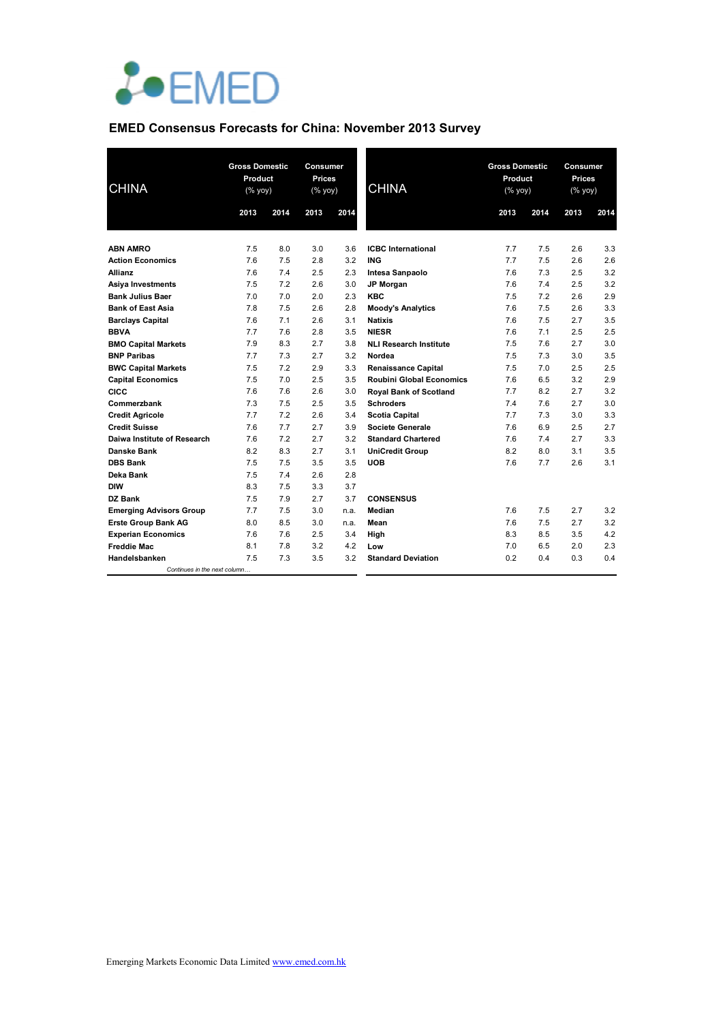

# **EMED Consensus Forecasts for China: November 2013 Survey**

| <b>CHINA</b>                   | <b>Gross Domestic</b><br>Product<br>(% yoy) |      | <b>Consumer</b><br><b>Prices</b><br>$(\%$ yoy) |      | <b>CHINA</b>                    | <b>Gross Domestic</b><br>Product<br>$(\%$ yoy) |      | Consumer<br><b>Prices</b><br>(% yoy) |      |
|--------------------------------|---------------------------------------------|------|------------------------------------------------|------|---------------------------------|------------------------------------------------|------|--------------------------------------|------|
|                                | 2013                                        | 2014 | 2013                                           | 2014 |                                 | 2013                                           | 2014 | 2013                                 | 2014 |
|                                |                                             |      |                                                |      |                                 |                                                |      |                                      |      |
| <b>ABN AMRO</b>                | 7.5                                         | 8.0  | 3.0                                            | 3.6  | <b>ICBC</b> International       | 7.7                                            | 7.5  | 2.6                                  | 3.3  |
| <b>Action Economics</b>        | 7.6                                         | 7.5  | 2.8                                            | 3.2  | <b>ING</b>                      | 7.7                                            | 7.5  | 2.6                                  | 2.6  |
| <b>Allianz</b>                 | 7.6                                         | 7.4  | 2.5                                            | 2.3  | Intesa Sanpaolo                 | 7.6                                            | 7.3  | 2.5                                  | 3.2  |
| Asiya Investments              | 7.5                                         | 7.2  | 2.6                                            | 3.0  | <b>JP Morgan</b>                | 7.6                                            | 7.4  | 2.5                                  | 3.2  |
| <b>Bank Julius Baer</b>        | 7.0                                         | 7.0  | 2.0                                            | 2.3  | <b>KBC</b>                      | 7.5                                            | 7.2  | 2.6                                  | 2.9  |
| <b>Bank of East Asia</b>       | 7.8                                         | 7.5  | 2.6                                            | 2.8  | <b>Moody's Analytics</b>        | 7.6                                            | 7.5  | 2.6                                  | 3.3  |
| <b>Barclays Capital</b>        | 7.6                                         | 7.1  | 2.6                                            | 3.1  | <b>Natixis</b>                  | 7.6                                            | 7.5  | 2.7                                  | 3.5  |
| <b>BBVA</b>                    | 7.7                                         | 7.6  | 2.8                                            | 3.5  | <b>NIESR</b>                    | 7.6                                            | 7.1  | 2.5                                  | 2.5  |
| <b>BMO Capital Markets</b>     | 7.9                                         | 8.3  | 2.7                                            | 3.8  | <b>NLI Research Institute</b>   | 7.5                                            | 7.6  | 2.7                                  | 3.0  |
| <b>BNP Paribas</b>             | 7.7                                         | 7.3  | 2.7                                            | 3.2  | Nordea                          | 7.5                                            | 7.3  | 3.0                                  | 3.5  |
| <b>BWC Capital Markets</b>     | 7.5                                         | 7.2  | 2.9                                            | 3.3  | <b>Renaissance Capital</b>      | 7.5                                            | 7.0  | 2.5                                  | 2.5  |
| <b>Capital Economics</b>       | 7.5                                         | 7.0  | 2.5                                            | 3.5  | <b>Roubini Global Economics</b> | 7.6                                            | 6.5  | 3.2                                  | 2.9  |
| <b>CICC</b>                    | 7.6                                         | 7.6  | 2.6                                            | 3.0  | <b>Royal Bank of Scotland</b>   | 7.7                                            | 8.2  | 2.7                                  | 3.2  |
| Commerzbank                    | 7.3                                         | 7.5  | 2.5                                            | 3.5  | <b>Schroders</b>                | 7.4                                            | 7.6  | 2.7                                  | 3.0  |
| <b>Credit Agricole</b>         | 7.7                                         | 7.2  | 2.6                                            | 3.4  | <b>Scotia Capital</b>           | 7.7                                            | 7.3  | 3.0                                  | 3.3  |
| <b>Credit Suisse</b>           | 7.6                                         | 7.7  | 2.7                                            | 3.9  | Societe Generale                | 7.6                                            | 6.9  | 2.5                                  | 2.7  |
| Daiwa Institute of Research    | 7.6                                         | 7.2  | 2.7                                            | 3.2  | <b>Standard Chartered</b>       | 7.6                                            | 7.4  | 2.7                                  | 3.3  |
| Danske Bank                    | 8.2                                         | 8.3  | 2.7                                            | 3.1  | <b>UniCredit Group</b>          | 8.2                                            | 8.0  | 3.1                                  | 3.5  |
| <b>DBS Bank</b>                | 7.5                                         | 7.5  | 3.5                                            | 3.5  | <b>UOB</b>                      | 7.6                                            | 7.7  | 2.6                                  | 3.1  |
| Deka Bank                      | 7.5                                         | 7.4  | 2.6                                            | 2.8  |                                 |                                                |      |                                      |      |
| <b>DIW</b>                     | 8.3                                         | 7.5  | 3.3                                            | 3.7  |                                 |                                                |      |                                      |      |
| DZ Bank                        | 7.5                                         | 7.9  | 2.7                                            | 3.7  | <b>CONSENSUS</b>                |                                                |      |                                      |      |
| <b>Emerging Advisors Group</b> | 7.7                                         | 7.5  | 3.0                                            | n.a. | Median                          | 7.6                                            | 7.5  | 2.7                                  | 3.2  |
| <b>Erste Group Bank AG</b>     | 8.0                                         | 8.5  | 3.0                                            | n.a. | Mean                            | 7.6                                            | 7.5  | 2.7                                  | 3.2  |
| <b>Experian Economics</b>      | 7.6                                         | 7.6  | 2.5                                            | 3.4  | High                            | 8.3                                            | 8.5  | 3.5                                  | 4.2  |
| <b>Freddie Mac</b>             | 8.1                                         | 7.8  | 3.2                                            | 4.2  | Low                             | 7.0                                            | 6.5  | 2.0                                  | 2.3  |
| Handelsbanken                  | 7.5                                         | 7.3  | 3.5                                            | 3.2  | <b>Standard Deviation</b>       | 0.2                                            | 0.4  | 0.3                                  | 0.4  |
| Continues in the next column   |                                             |      |                                                |      |                                 |                                                |      |                                      |      |